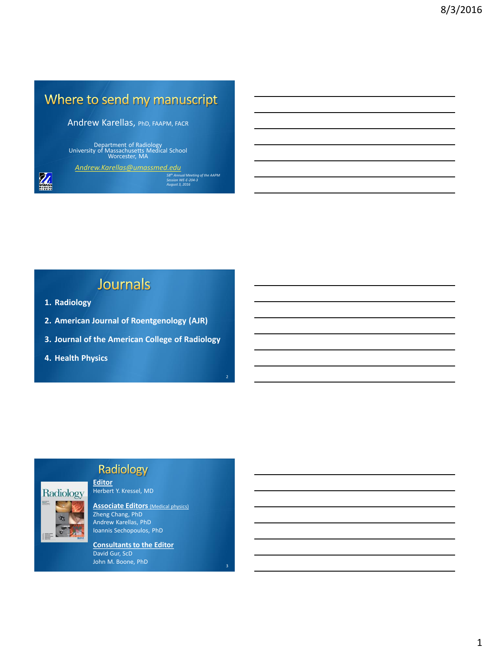# Where to send my manuscript

Andrew Karellas, PhD, FAAPM, FACR

Department of Radiology University of Massachusetts Medical School Worcester, MA

*[Andrew.Karellas@umassmed.edu](mailto:Andrew.Karellas@umassmed.edu)*

*58th Annual Meeting of the AAPM Session WE-E-204-3 August 3, 2016*

2

## Journals

**1. Radiology**

M

- **2. American Journal of Roentgenology (AJR)**
- **3. Journal of the American College of Radiology**
- **4. Health Physics**



## Radiology

**Editor** Herbert Y. Kressel, MD

**Associate Editors** (Medical physics) Zheng Chang, PhD Andrew Karellas, PhD Ioannis Sechopoulos, PhD

**Consultants to the Editor** David Gur, ScD John M. Boone, PhD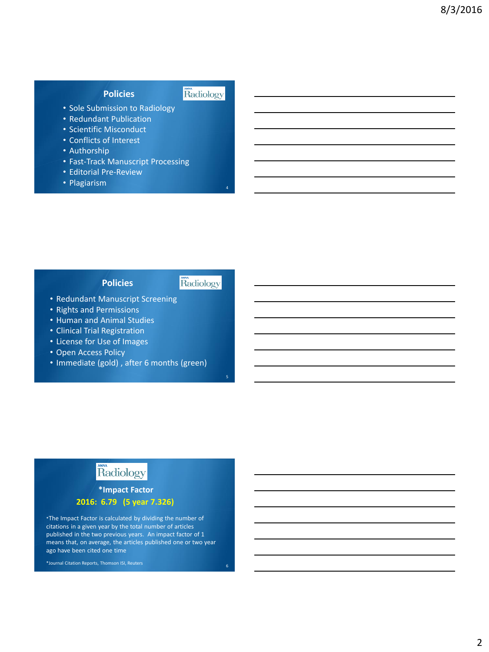### **Policies**

#### Radiology

4

5

- Sole Submission to Radiology
- Redundant Publication
- Scientific Misconduct
- Conflicts of Interest
- Authorship
- Fast-Track Manuscript Processing
- Editorial Pre-Review
- Plagiarism

### **Policies**

### Radiology

- Redundant Manuscript Screening
- Rights and Permissions
- Human and Animal Studies
- Clinical Trial Registration
- License for Use of Images
- Open Access Policy
- Immediate (gold) , after 6 months (green)

## Radiology

## **2016: 6.79 (5 year 7.326) \*Impact Factor**

\*The Impact Factor is calculated by dividing the number of citations in a given year by the total number of articles published in the two previous years. An impact factor of 1 means that, on average, the articles published one or two year ago have been cited one time

\*Journal Citation Reports, Thomson ISI, Reuters 6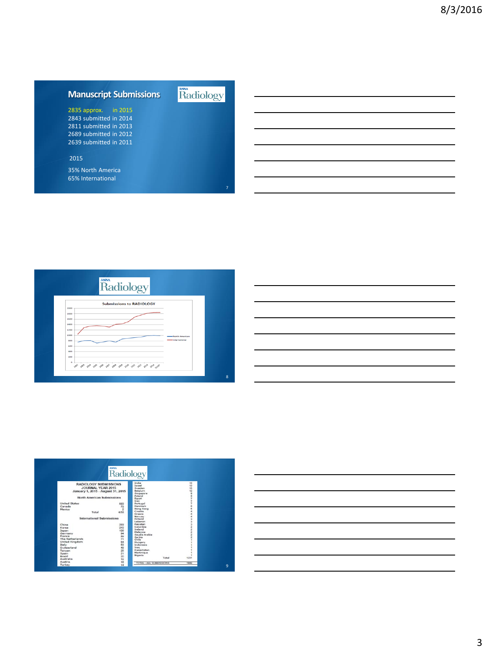## **Manuscript Submissions**

2835 approx. in 2015 2843 submitted in 2014 2811 submitted in 2013 2689 submitted in 2012 2639 submitted in 2011

#### 2015

35% North America 65% International







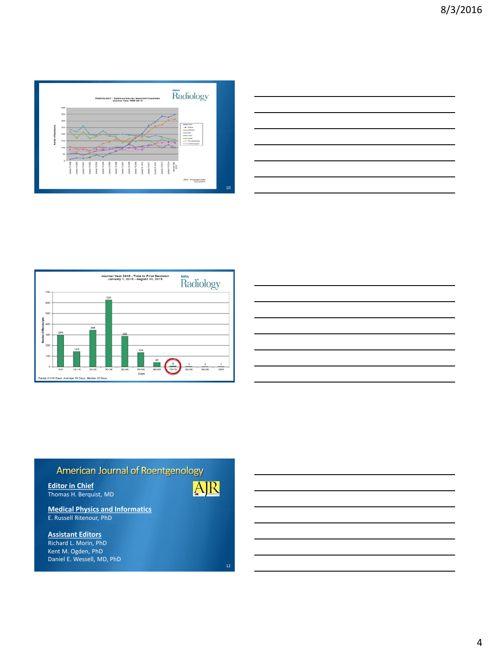





| <u> 1989 - Johann Stoff, deutscher Stoffen und der Stoffen und der Stoffen und der Stoffen und der Stoffen und der</u> |  |  |
|------------------------------------------------------------------------------------------------------------------------|--|--|
| the contract of the contract of the contract of the contract of the contract of the contract of                        |  |  |
|                                                                                                                        |  |  |
|                                                                                                                        |  |  |
|                                                                                                                        |  |  |
|                                                                                                                        |  |  |
|                                                                                                                        |  |  |
|                                                                                                                        |  |  |



**Medical Physics and Informatics** E. Russell Ritenour, PhD

**Assistant Editors** Richard L. Morin, PhD Kent M. Ogden, PhD Daniel E. Wessell, MD, PhD AJR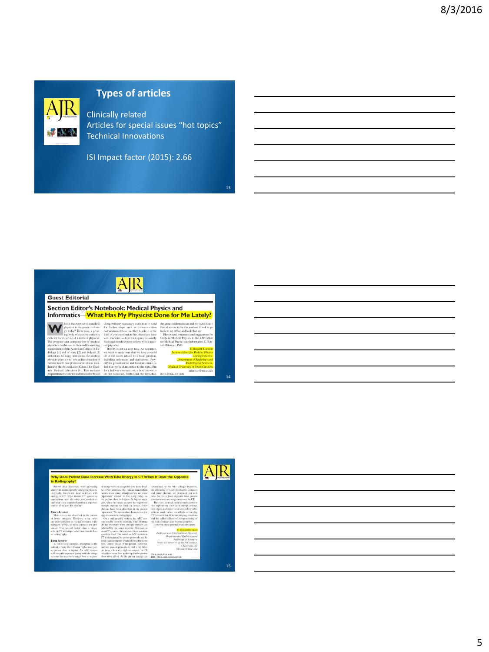

## **Types of articles**

Clinically related Articles for special issues "hot topics" Technical Innovations

13

14

ISI Impact factor (2015): 2.66

AJR **Guest Editorial** Section Editor's Notebook: Medical Physics and Informatics-What Has My Physicist Done for Me Lately? with any necessary caution as to need<br>urther steps, such as communication<br>occumentation. In other words, it is the<br>of communication that physicians have<br>of communication that physicians have<br>vastious medical colleagues on of a medical the great mathematician and physicist BI<br>Pascal scenus to be the earliest. I had to<br>beck to my office and look that up.<br>Please send comments and suggestion<br>FAQs in Medical Physics to the AJR Es<br>Mathiol Physics and Informat y today? To be sure, a grow-<br>tg body of statutory authority

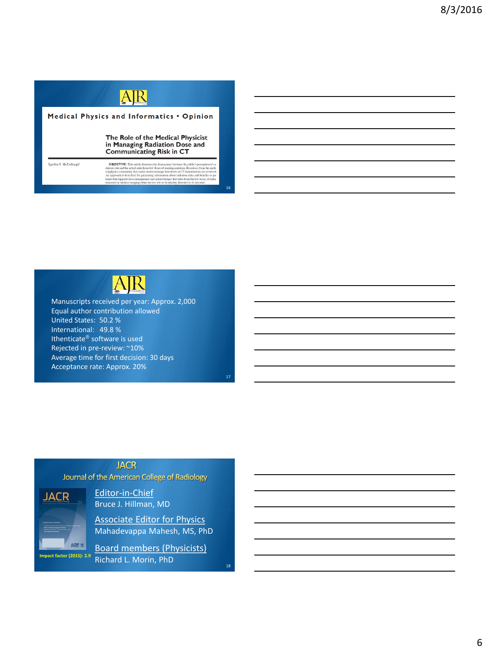



Manuscripts received per year: Approx. 2,000 Equal author contribution allowed United States: 50.2 % International: 49.8 % Ithenticate® software is used Rejected in pre-review: ~10% Average time for first decision: 30 days Acceptance rate: Approx. 20%

### **JACR**

Journal of the American College of Radiology



Editor-in-Chief Bruce J. Hillman, MD

Associate Editor for Physics Mahadevappa Mahesh, MS, PhD

Board members (Physicists) Richard L. Morin, PhD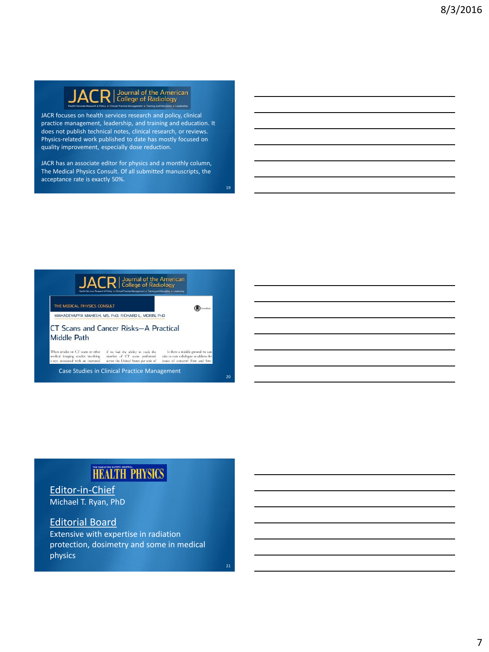

JACR focuses on health services research and policy, clinical practice management, leadership, and training and education. It does not publish technical notes, clinical research, or reviews. Physics-related work published to date has mostly focused on quality improvement, especially dose reduction.

JACR has an associate editor for physics and a monthly column, The Medical Physics Consult. Of all submitted manuscripts, the acceptance rate is exactly 50%.

JACR | Journal of the American  $\begin{picture}(20,20) \put(0,0){\line(1,0){10}} \put(15,0){\line(1,0){10}} \put(15,0){\line(1,0){10}} \put(15,0){\line(1,0){10}} \put(15,0){\line(1,0){10}} \put(15,0){\line(1,0){10}} \put(15,0){\line(1,0){10}} \put(15,0){\line(1,0){10}} \put(15,0){\line(1,0){10}} \put(15,0){\line(1,0){10}} \put(15,0){\line(1,0){10}} \put(15,0){\line(1$ MAHADEVAPPA MAHESH, MS, PHD, RICHARD L. MORIN, PHD CT Scans and Cancer Risks-A Practical **Middle Path**  $\label{thm:main}$  When a<br>ricks on CT scans or other  $\quad$  if we had the ability to track the<br> $\qquad$  Is there a middle ground we can medical imaging studies involving<br> $\qquad$  number of CT scans performed  $\qquad$ <br>also start a dialogue t Case Studies in Clinical Practice Management  $20$ 

## **HEALTH PHYSICS**

Editor-in-Chief Michael T. Ryan, PhD

### Editorial Board

Extensive with expertise in radiation protection, dosimetry and some in medical physics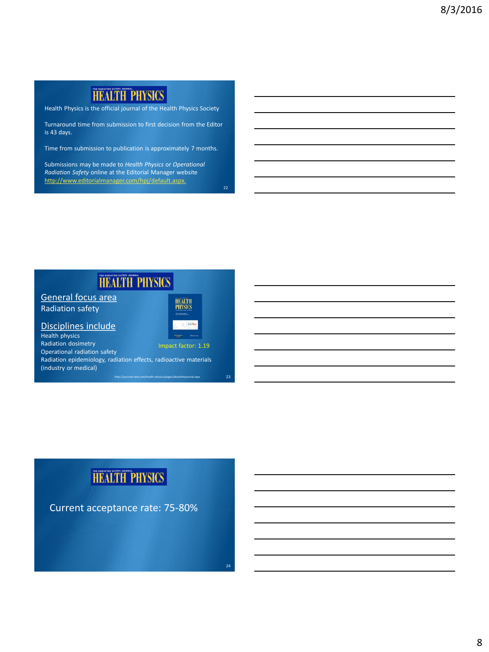## **HEALTH PHYSICS**

Health Physics is the official journal of the Health Physics Society

Turnaround time from submission to first decision from the Editor is 43 days.

Time from submission to publication is approximately 7 months.

Submissions may be made to *Health Physics* or *Operational Radiation Safety* online at the Editorial Manager website [http://www.editorialmanager.com/hpj/default.aspx.](http://www.editorialmanager.com/hpj/default.aspx))

**HEALTH PHYSICS** General focus area **HEALTH**<br>PHYSICS Radiation safety Disciplines include Health physics Radiation dosimetry Impact factor: 1.19 Operational radiation safety Radiation epidemiology, radiation effects, radioactive materials (industry or medical) 23 http://journals.lww.com/health-physics/pages/aboutthejournal.aspx

# **HEALTH PHYSICS**

Current acceptance rate: 75-80%